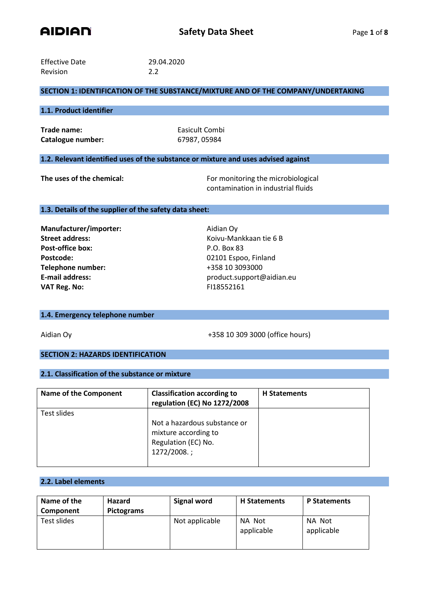

| <b>Effective Date</b> | 29.04.2020 |
|-----------------------|------------|
| <b>Revision</b>       | 2.2        |

# **SECTION 1: IDENTIFICATION OF THE SUBSTANCE/MIXTURE AND OF THE COMPANY/UNDERTAKING**

#### **1.1. Product identifier**

**Trade name:** Easicult Combi **Catalogue number:** 67987, 05984

### **1.2. Relevant identified uses of the substance or mixture and uses advised against**

**The uses of the chemical:** For monitoring the microbiological contamination in industrial fluids

## **1.3. Details of the supplier of the safety data sheet:**

**Manufacturer/importer:** Aidian Oy **Street address:** Koivu-Mankkaan tie 6 B Post-office box: P.O. Box 83 Postcode: 02101 Espoo, Finland **Telephone number:** +358 10 3093000 **VAT Reg. No:** FI18552161

E-mail address: product.support@aidian.eu

## **1.4. Emergency telephone number**

Aidian Oy **4358 10 309 3000** (office hours)

## **SECTION 2: HAZARDS IDENTIFICATION**

# **2.1. Classification of the substance or mixture**

| <b>Name of the Component</b> | <b>Classification according to</b><br>regulation (EC) No 1272/2008                         | <b>H</b> Statements |
|------------------------------|--------------------------------------------------------------------------------------------|---------------------|
| Test slides                  |                                                                                            |                     |
|                              | Not a hazardous substance or<br>mixture according to<br>Regulation (EC) No.<br>1272/2008.; |                     |

### **2.2. Label elements**

| Name of the<br>Component | <b>Hazard</b><br>Pictograms | Signal word    | <b>H</b> Statements  | <b>P Statements</b>  |
|--------------------------|-----------------------------|----------------|----------------------|----------------------|
| Test slides              |                             | Not applicable | NA Not<br>applicable | NA Not<br>applicable |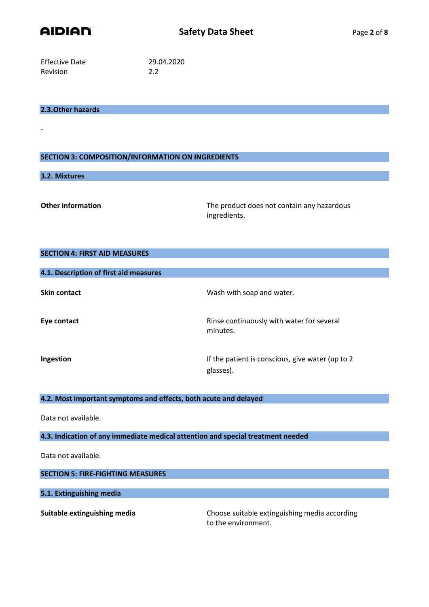

Effective Date 29.04.2020 Revision 2.2

## **2.3.Other hazards**

## **SECTION 3: COMPOSITION/INFORMATION ON INGREDIENTS**

## **3.2. Mixtures**

-

**Other information** The product does not contain any hazardous ingredients.

# **SECTION 4: FIRST AID MEASURES**

| 4.1. Description of first aid measures |                                                               |
|----------------------------------------|---------------------------------------------------------------|
| <b>Skin contact</b>                    | Wash with soap and water.                                     |
| Eye contact                            | Rinse continuously with water for several<br>minutes.         |
| Ingestion                              | If the patient is conscious, give water (up to 2<br>glasses). |

# **4.2. Most important symptoms and effects, both acute and delayed**

Data not available.

## **4.3. Indication of any immediate medical attention and special treatment needed**

Data not available.

#### **SECTION 5: FIRE-FIGHTING MEASURES**

# **5.1. Extinguishing media**

**Suitable extinguishing media** Choose suitable extinguishing media according to the environment.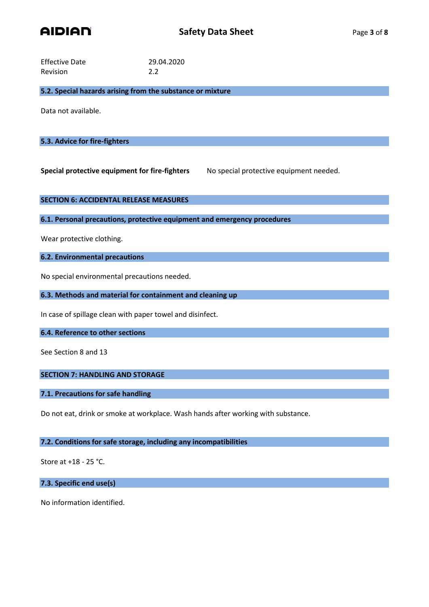

| <b>Effective Date</b> | 29.04.2020 |
|-----------------------|------------|
| Revision              | 2.2        |

**5.2. Special hazards arising from the substance or mixture**

Data not available.

# **5.3. Advice for fire-fighters**

**Special protective equipment for fire-fighters** No special protective equipment needed.

## **SECTION 6: ACCIDENTAL RELEASE MEASURES**

**6.1. Personal precautions, protective equipment and emergency procedures**

Wear protective clothing.

# **6.2. Environmental precautions**

No special environmental precautions needed.

**6.3. Methods and material for containment and cleaning up**

In case of spillage clean with paper towel and disinfect.

#### **6.4. Reference to other sections**

See Section 8 and 13

# **SECTION 7: HANDLING AND STORAGE**

# **7.1. Precautions for safe handling**

Do not eat, drink or smoke at workplace. Wash hands after working with substance.

### **7.2. Conditions for safe storage, including any incompatibilities**

Store at +18 - 25 °C.

**7.3. Specific end use(s)**

No information identified.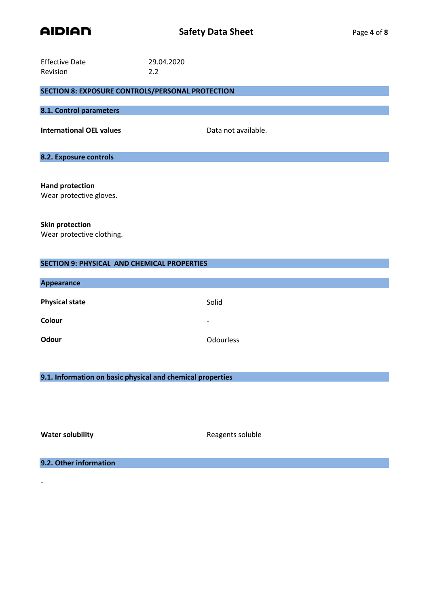

| <b>Effective Date</b>                                   | 29.04.2020          |
|---------------------------------------------------------|---------------------|
| Revision                                                | 2.2                 |
|                                                         |                     |
| <b>SECTION 8: EXPOSURE CONTROLS/PERSONAL PROTECTION</b> |                     |
|                                                         |                     |
| 8.1. Control parameters                                 |                     |
|                                                         |                     |
| <b>International OEL values</b>                         | Data not available. |
|                                                         |                     |
|                                                         |                     |
| 8.2. Exposure controls                                  |                     |
|                                                         |                     |
|                                                         |                     |
|                                                         |                     |

**Hand protection** Wear protective gloves.

**Skin protection** Wear protective clothing.

| <b>SECTION 9: PHYSICAL AND CHEMICAL PROPERTIES</b> |                          |  |
|----------------------------------------------------|--------------------------|--|
|                                                    |                          |  |
| <b>Appearance</b>                                  |                          |  |
|                                                    |                          |  |
| <b>Physical state</b>                              | Solid                    |  |
|                                                    |                          |  |
| Colour                                             | $\overline{\phantom{a}}$ |  |
| Odour                                              | <b>Odourless</b>         |  |
|                                                    |                          |  |

**9.1. Information on basic physical and chemical properties**

-

**Water solubility Water soluble** Reagents soluble

**9.2. Other information**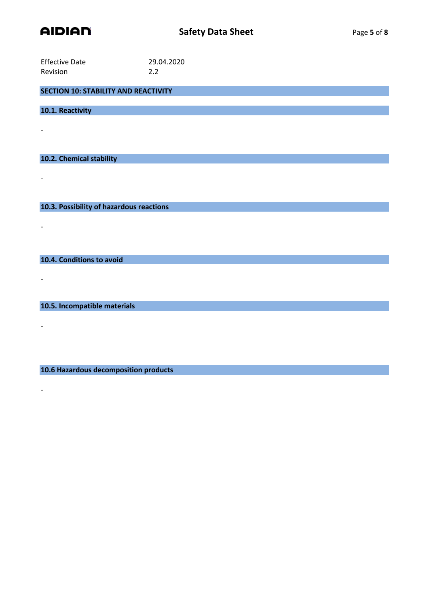

| <b>Effective Date</b> | 29.04.2020 |
|-----------------------|------------|
| <b>Revision</b>       | 2.2        |

**SECTION 10: STABILITY AND REACTIVITY**

**10.1. Reactivity**

-

-

-

-

-

-

**10.2. Chemical stability**

**10.3. Possibility of hazardous reactions**

**10.4. Conditions to avoid**

**10.5. Incompatible materials**

**10.6 Hazardous decomposition products**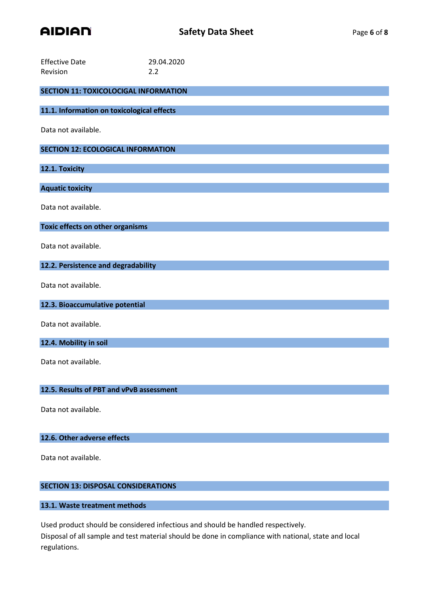

| <b>Effective Date</b><br>Revision            | 29.04.2020<br>2.2 |
|----------------------------------------------|-------------------|
| <b>SECTION 11: TOXICOLOCIGAL INFORMATION</b> |                   |
| 11.1. Information on toxicological effects   |                   |
| Data not available.                          |                   |
| <b>SECTION 12: ECOLOGICAL INFORMATION</b>    |                   |
| 12.1. Toxicity                               |                   |
| <b>Aquatic toxicity</b>                      |                   |
| Data not available.                          |                   |
| Toxic effects on other organisms             |                   |
| Data not available.                          |                   |
| 12.2. Persistence and degradability          |                   |
| Data not available.                          |                   |
| 12.3. Bioaccumulative potential              |                   |
| Data not available.                          |                   |
| 12.4. Mobility in soil                       |                   |
| Data not available.                          |                   |
| 12.5. Results of PBT and vPvB assessment     |                   |
| Data not available.                          |                   |
| 12.6. Other adverse effects                  |                   |

Data not available.

# **SECTION 13: DISPOSAL CONSIDERATIONS**

# **13.1. Waste treatment methods**

Used product should be considered infectious and should be handled respectively.

Disposal of all sample and test material should be done in compliance with national, state and local regulations.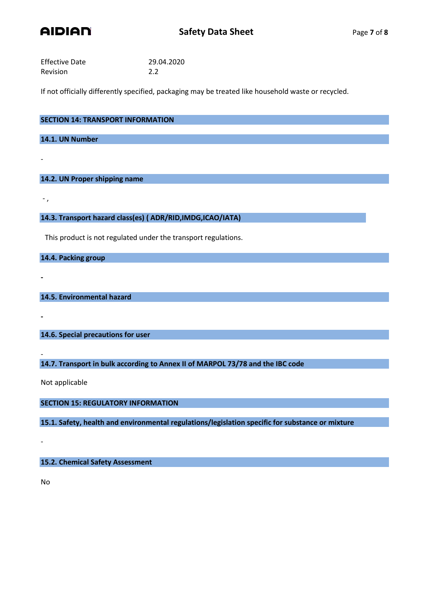

| <b>Effective Date</b> | 29.04.2020 |
|-----------------------|------------|
| Revision              | 2.2        |

If not officially differently specified, packaging may be treated like household waste or recycled.

| <b>SECTION 14: TRANSPORT INFORMATION</b> |  |  |
|------------------------------------------|--|--|
|                                          |  |  |
| 14.1. UN Number                          |  |  |
|                                          |  |  |

# **14.2. UN Proper shipping name**

- ,

**-**

**-**

-

**14.3. Transport hazard class(es) ( ADR/RID,IMDG,ICAO/IATA)**

This product is not regulated under the transport regulations.

**14.4. Packing group**

**14.5. Environmental hazard**

**14.6. Special precautions for user**

**14.7. Transport in bulk according to Annex II of MARPOL 73/78 and the IBC code**

Not applicable

**SECTION 15: REGULATORY INFORMATION**

**15.1. Safety, health and environmental regulations/legislation specific for substance or mixture**

**15.2. Chemical Safety Assessment**

No

-